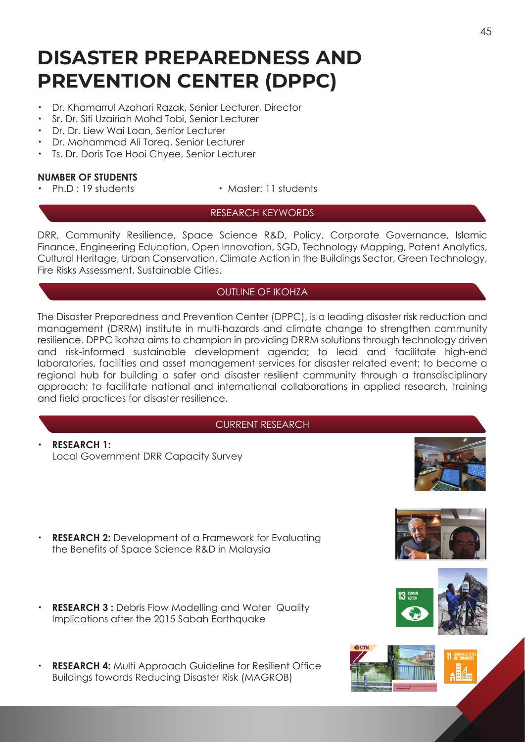# **DISASTER PREPAREDNESS AND PREVENTION CENTER (DPPC)**

- ・ Dr. Khamarrul Azahari Razak, Senior Lecturer, Director
- ・ Sr. Dr. Siti Uzairiah Mohd Tobi, Senior Lecturer
- ・ Dr. Dr. Liew Wai Loan, Senior Lecturer
- ・ Dr. Mohammad Ali Tareq, Senior Lecturer
- Ts. Dr. Doris Toe Hooi Chyee, Senior Lecturer

## **NUMBER OF STUDENTS**

- 
- Ph.D : 19 students Master: 11 students

# RESEARCH KEYWORDS

DRR, Community Resilience, Space Science R&D, Policy, Corporate Governance, Islamic Finance, Engineering Education, Open Innovation, SGD, Technology Mapping, Patent Analytics, Cultural Heritage, Urban Conservation, Climate Action in the Buildings Sector, Green Technology, Fire Risks Assessment, Sustainable Cities.

# OUTLINE OF IKOHZA

The Disaster Preparedness and Prevention Center (DPPC), is a leading disaster risk reduction and management (DRRM) institute in multi-hazards and climate change to strengthen community resilience. DPPC ikohza aims to champion in providing DRRM solutions through technology driven and risk-informed sustainable development agenda; to lead and facilitate high-end laboratories, facilities and asset management services for disaster related event; to become a regional hub for building a safer and disaster resilient community through a transdisciplinary approach; to facilitate national and international collaborations in applied research, training and field practices for disaster resilience.

#### CURRENT RESEARCH

・ **RESEARCH 1:** Local Government DRR Capacity Survey



- **RESEARCH 2:** Development of a Framework for Evaluating the Benefits of Space Science R&D in Malaysia
- **RESEARCH 3 :** Debris Flow Modelling and Water Quality Implications after the 2015 Sabah Earthquake
	- **RESEARCH 4: Multi Approach Guideline for Resilient Office** Buildings towards Reducing Disaster Risk (MAGROB)